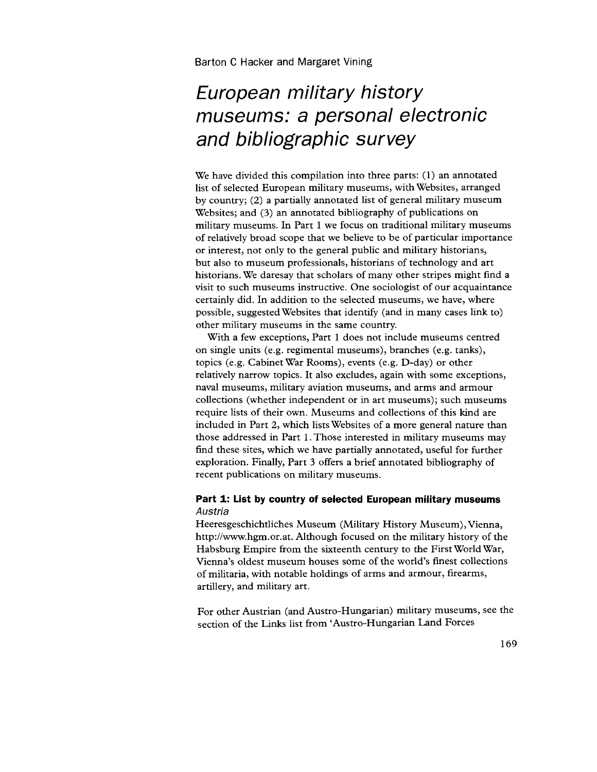# **European military history museums: a personal electronic and bibliographic survey**

We have divided this compilation into three parts: (1) an annotated list of selected European military museums, with Websites, arranged by country; (2) a partially annotated list of general military museum Websites; and (3) an annotated bibliography of publications on military museums. In Part 1 we focus on traditional military museums of relatively broad scope that we believe to be of particular importance or interest, not only to the general public and military historians, but also to museum professionals, historians of technology and art historians. We daresay that scholars of many other stripes might find a visit to such museums instructive. One sociologist of our acquaintance certainly did. In addition to the selected museums, we have, where possible, suggested Websites that identify (and in many cases link to) other military museums in the same country.

With a few exceptions, Part 1 does not include museums centred on single units (e.g. regimental museums), branches (e.g. tanks), topics (e.g. Cabinet War Rooms), events (e.g. D-day) or other relatively narrow topics. It also excludes, again with some exceptions, naval museums, military aviation museums, and arms and armour collections (whether independent or in art museums); such museums require lists of their own. Museums and collections of this kind are included in Part 2, which lists Websites of a more general nature than those addressed in Part 1. Those interested in military museums may find these sites, which we have partially annotated, useful for further exploration. Finally, Part 3 offers a brief annotated bibliography of recent publications on military museums.

## **Part 1: List by country of selected European military museums**  Austria

Heeresgeschichtliches Museum (Military History Museum), Vienna, http://www.hgm.or.at. Although focused on the military history of the Habsburg Empire from the sixteenth century to the First World War, Vienna's oldest museum houses some of the world's finest collections of militaria, with notable holdings of arms and armour, firearms, artillery, and military art.

For other Austrian (and Austro-Hungarian) military museums, see the section of the Links list from 'Austro-Hungarian Land Forces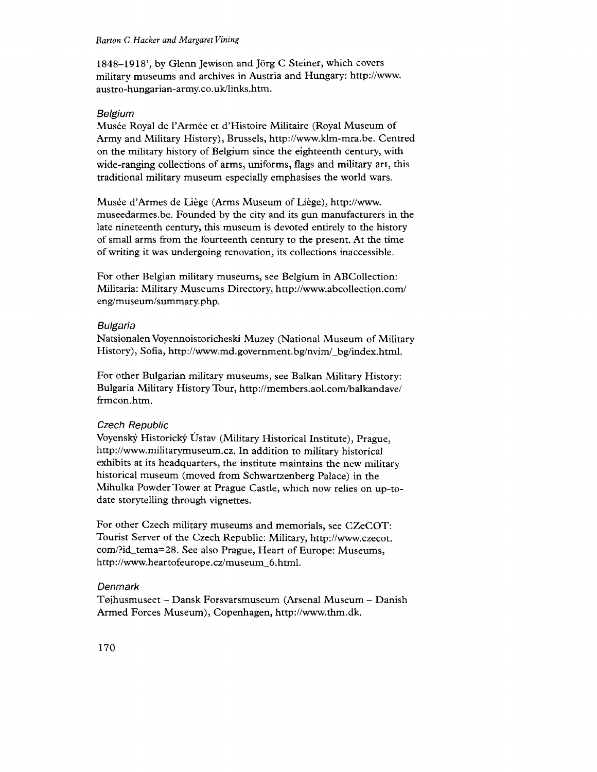1848-1918', by Glenn Jewison and Jörg C Steiner, which covers military museums and archives in Austria and Hungary: http://www. austro-hungarian-army.co.uk/links.htm.

# Belgium

Musée Royal de l'Armée et d'Histoire Militaire (Royal Museum of Army and Military History), Brussels, http://www.klm-mra.be. Centred on the military history of Belgium since the eighteenth century, with wide-ranging collections of arms, uniforms, flags and military art, this traditional military museum especially emphasises the world wars.

Musée d'Armes de Liège (Arms Museum of Liège), http://www. museedarmes.be. Founded by the city and its gun manufacturers in the late nineteenth century, this museum is devoted entirely to the history of small arms from the fourteenth century to the present. At the time of writing it was undergoing renovation, its collections inaccessible.

For other Belgian military museums, see Belgium in ABCollection: Militaria: Military Museums Directory, http://www.abcollection.com/ eng/museum/summary.php.

# BUlgaria

Natsionalen Voyennoistoricheski Muzey (National Museum of Military History), Sofia, http://www.md.government.bg/nvim/\_bg/index.html.

For other Bulgarian military museums, see Balkan Military History: Bulgaria Military History Tour, http://members.aol.com/balkandave/ frmcon.htm.

# Czech Republic

Voyenský Historický Ústav (Military Historical Institute), Prague, http://www.militarymuseum.cz. In addition to military historical exhibits at its headquarters, the institute maintains the new military historical museum (moved from Schwartzenberg Palace) in the Mihulka Powder Tower at Prague Castle, which now relies on up-todate storytelling through vignettes.

For other Czech military museums and memorials, see CZeCOT: Tourist Server of the Czech Republic: Military, http://www.czecot. com/?id\_tema=28. See also Prague, Heart of Europe: Museums, http://www.heartofeurope.cz/museum\_6.html.

# Denmark

T0jhusmuseet - Dansk Forsvarsmuseum (Arsenal Museum - Danish Armed Forces Museum), Copenhagen, http://www.thm.dk.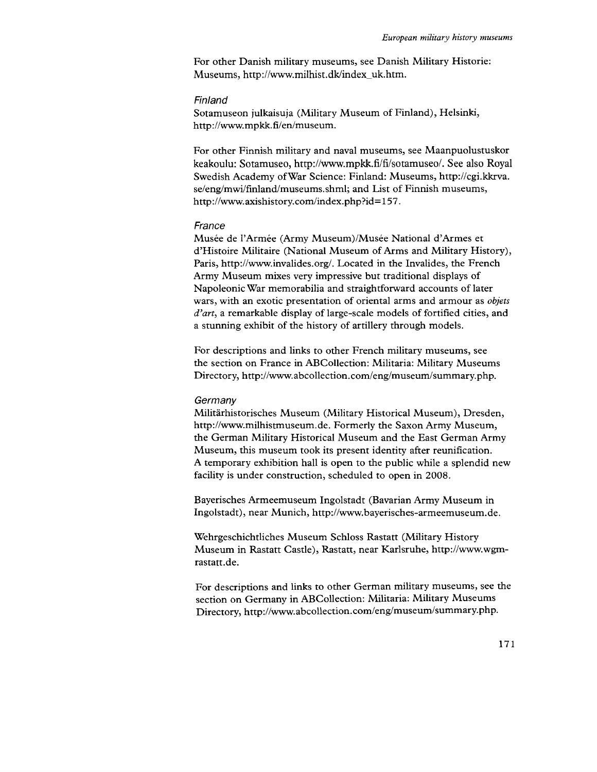For other Danish military museums, see Danish Military Historie: Museums, http://www.milhist.dk/index\_uk.htm.

#### Finland

Sotamuseon julkaisuja (Military Museum of Finland), Helsinki, http://www.mpkk.fi/en/museum.

For other Finnish military and naval museums, see Maanpuolustuskor keakoulu: Sotamuseo, http://www.mpkk.fi/fi/sotamuseo/. See also Royal Swedish Academy ofWar Science: Finland: Museums, http://cgi.kkrva. se/eng/mwi/finland/museums.shml; and List of Finnish museums, http://www.axishistory.com/index.php?id=157.

#### France

Musée de l'Armée (Army Museum)/Musée National d'Armes et d'Histoire Militaire (National Museum of Arms and Military History), Paris, http://www.invalides.org/. Located in the Invalides, the French Army Museum mixes very impressive but traditional displays of Napoleonic War memorabilia and straightforward accounts of later wars, with an exotic presentation of oriental arms and armour as *objets d'art,* a remarkable display of large-scale models of fortified cities, and a stunning exhibit of the history of artillery through models.

For descriptions and links to other French military museums, see the section on France in ABCollection: Militaria: Military Museums Directory, http://www.abcollection.com/eng/museum/summary.php.

#### **Germany**

Militarhistorisches Museum (Military Historical Museum), Dresden, http://www.milhistmuseum.de. Formerly the Saxon Army Museum, the German Military Historical Museum and the East German Army Museum, this museum took its present identity after reunification. A temporary exhibition hall is open to the public while a splendid new facility is under construction, scheduled to open in 2008.

Bayerisches Armeemuseum Ingolstadt (Bavarian Army Museum in Ingolstadt), near Munich, http://www.bayerisches-armeemuseum.de.

Wehrgeschichtliches Museum Schloss Rastatt (Military History Museum in Rastatt Castle), Rastatt, near Karlsruhe, http://www.wgm rastatt.de.

For descriptions and links to other German military museums, see the section on Germany in ABCollection: Militaria: Military Museums Directory, http://www.abcollection.com/eng/museum/summary.php.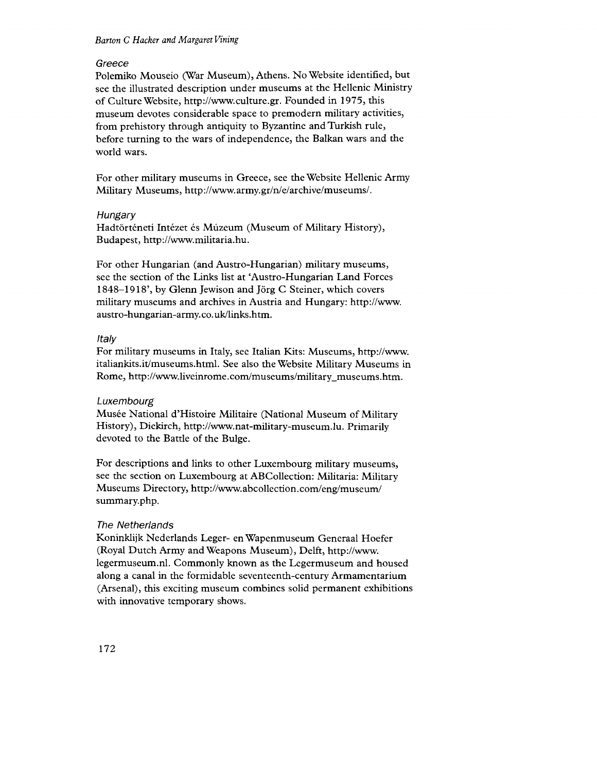### Greece

Polemiko Mouseio (War Museum), Athens. No Website identified, but see the illustrated description under museums at the Hellenic Ministry of Culture Website, http://www.culture.gr.Foundedin1975.this museum devotes considerable space to premodern military activities, from prehistory through antiquity to Byzantine and Turkish rule, before turning to the wars of independence, the Balkan wars and the world wars.

For other military museums in Greece, see the Website Hellenic Army Military Museums, http://www.army.gr/n/e/archive/museums/.

### **Hungary**

Hadtörténeti Intézet és Múzeum (Museum of Military History), Budapest, http://www.militaria.hu.

For other Hungarian (and Austro-Hungarian) military museums, see the section of the Links list at 'Austro-Hungarian Land Forces 1848-1918', by Glenn Jewison and Jörg C Steiner, which covers military museums and archives in Austria and Hungary: http://www. austro-hungarian-army.co.uk/links.htm.

## Italy

For military museums in Italy, see Italian Kits: Museums, http://www. italiankits.it/museums.html. See also the Website Military Museums in Rome, http://www.liveinrome.com/museums/military\_museums.htm.

## Luxembourg

Musée National d'Histoire Militaire (National Museum of Military History), Diekirch, http://www.nat-military-museum.lu. Primarily devoted to the Battle of the Bulge.

For descriptions and links to other Luxembourg military museums, see the section on Luxembourg at ABCollection: Militaria: Military Museums Directory, http://www.abcollection.com/eng/museum/ summary.php.

## The Netherlands

Koninklijk Nederlands Leger- en Wapenmuseum Generaal Hoefer (Royal Dutch Army and Weapons Museum), Delft, http://www. legermuseum.nl. Commonly known as the Legermuseum and housed along a canal in the formidable seventeenth-century Armamentarium (Arsenal), this exciting museum combines solid permanent exhibitions with innovative temporary shows.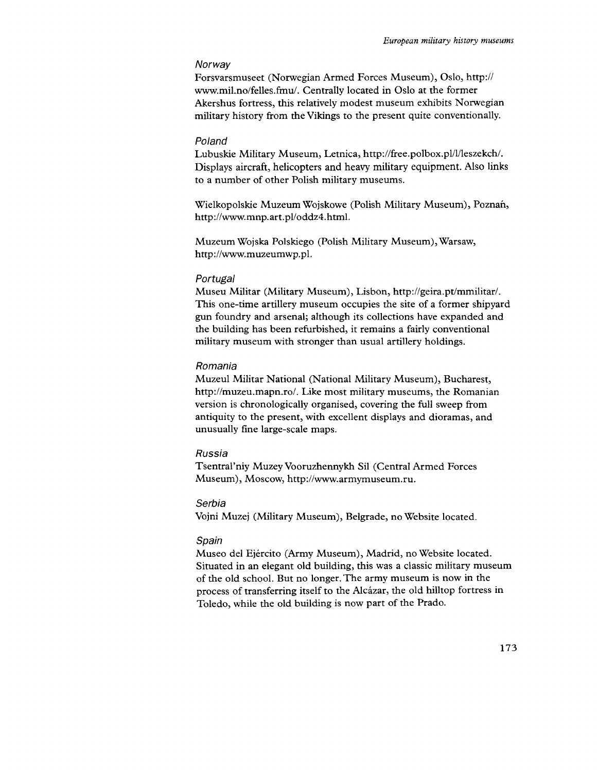#### **Norway**

Forsvarsmuseet (Norwegian Armed Forces Museum), Oslo, http:// www.mil.no/felles.fmu/. Centrally located in Oslo at the former Akershus fortress, this relatively modest museum exhibits Norwegian military history from the Vikings to the present quite conventionally.

#### Poland

Lubuskie Military Museum, Letnica, http://free.polbox.pl/l/leszekch/. Displays aircraft, helicopters and heavy military equipment. Also links to a number of other Polish military museums.

Wielkopolskie Muzeum Wojskowe (Polish Military Museum), Poznan, http://www.mnp.art.pl/oddz4.html.

Muzeum Wojska Polskiego (Polish Military Museum), Warsaw, http://www.muzeumwp.pl.

#### Portugal

Museu Militar (Military Museum), Lisbon, http://geira.pt/mmilitar/. This one-time artillery museum occupies the site of a former shipyard gun foundry and arsenal; although its collections have expanded and the building has been refurbished, it remains a fairly conventional military museum with stronger than usual artillery holdings.

#### Romania

Muzeul Militar National (National Military Museum), Bucharest, http://muzeu.mapn.ro/. Like most military museums, the Romanian version is chronologically organised, covering the full sweep from antiquity to the present, with excellent displays and dioramas, and unusually fine large-scale maps.

#### Russia

Tsentral'niy Muzey Vooruzhennykh Sil (Central Armed Forces Museum), Moscow, http://www.armymuseum.ru.

## Serbia

Vojni Muzej (Military Museum), Belgrade, no Website located.

#### Spain

Museo del Ejército (Army Museum), Madrid, no Website located. Situated in an elegant old building, this was a classic military museum of the old school. But no longer. The army museum is now in the process of transferring itself to the Alcazar, the old hilltop fortress in Toledo, while the old building is now part of the Prado.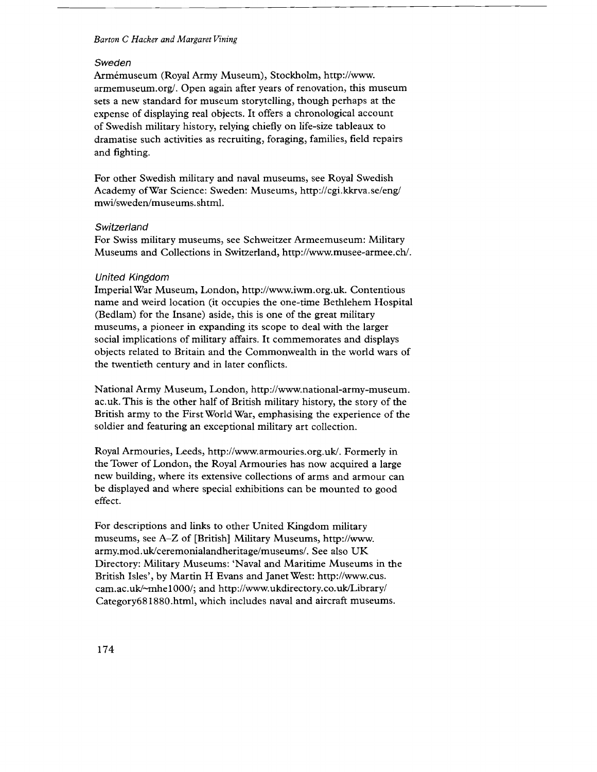#### Sweden

Armemuseum (Royal Army Museum), Stockholm, http://www. armemuseum.org/. Open again after years of renovation, this museum sets a new standard for museum storytelling, though perhaps at the expense of displaying real objects. It offers a chronological account of Swedish military history, relying chiefly on life-size tableaux to dramatise such activities as recruiting, foraging, families, field repairs and fighting.

For other Swedish military and naval museums, see Royal Swedish Academy of War Science: Sweden: Museums, http://cgi.kkrva.se/eng/ mwi/sweden/museums.shtml.

#### **Switzerland**

For Swiss military museums, see Schweitzer Armeemuseum: Military Museums and Collections in Switzerland, http://www.musee-armee.ch/.

#### United Kingdom

Imperial War Museum, London, http://www.iwm.org.uk. Contentious name and weird location (it occupies the one-time Bethlehem Hospital (Bedlam) for the Insane) aside, this is one of the great military museums, a pioneer in expanding its scope to deal with the larger social implications of military affairs. It commemorates and displays objects related to Britain and the Commonwealth in the world wars of the twentieth century and in later conflicts.

National Army Museum, London, http://www.national-army-museum. ac.uk. This is the other half of British military history, the story of the British army to the First World War, emphasising the experience of the soldier and featuring an exceptional military art collection.

Royal Armouries, Leeds, http://www.armouries.org.uk/. Formerly in the Tower of London, the Royal Armouries has now acquired a large new building, where its extensive collections of arms and armour can be displayed and where special exhibitions can be mounted to good effect.

For descriptions and links to other United Kingdom military museums, see A-Z of [British] Military Museums, http://www. army.mod.uk/ceremonialandheritage/museums/. See also UK Directory: Military Museums: 'Naval and Maritime Museums in the British Isles', by Martin H Evans and Janet West: http://www.cus. cam.ac.uk/-mhe1000/; and http://www.ukdirectory.co.uk/Library/ Category681880.html, which includes naval and aircraft museums.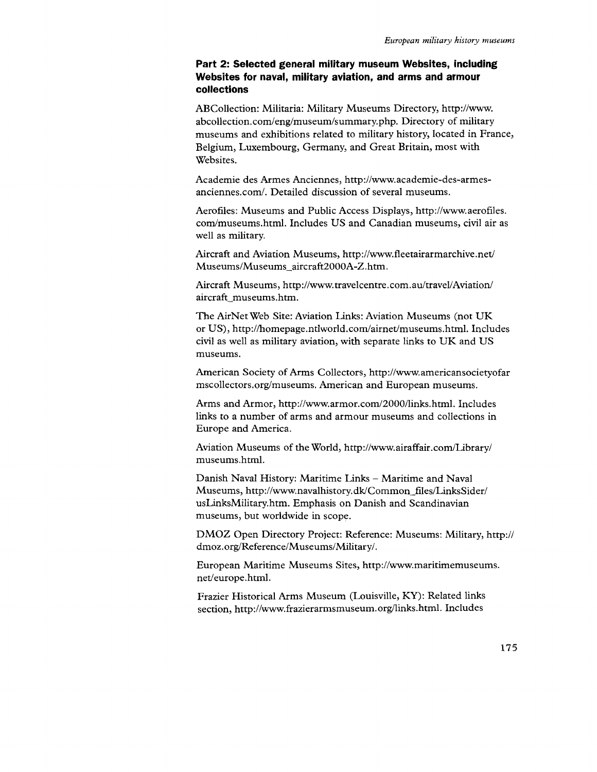# **Part 2: Selected general military museum Websites, including Websites for naval, military aviation, and arms and armour collections**

ABCollection: Militaria: Military Museums Directory, http://www. abcollection.com/eng/museum/summary.php. Directory of military museums and exhibitions related to military history, located in France, Belgium, Luxembourg, Germany, and Great Britain, most with Websites.

Academie des Armes Anciennes, http://www.academie-des-armesanciennes.com/. Detailed discussion of several museums.

Aerofiles: Museums and Public Access Displays, http://www.aerofiles. com/museums.html. Includes US and Canadian museums, civil air as well as military.

Aircraft and Aviation Museums, http://www.fleetairarmarchive.net/ Museums/Museums\_aircraft2000A-Z.htm.

Aircraft Museums, http://www.travelcentre.com.aultravel/Aviation/ aircraft\_museums.htm.

The AirNet Web Site: Aviation Links: Aviation Museums (not UK or US), http://homepage.ntlworld.com/airnet/museums.html. Includes civil as well as military aviation, with separate links to UK and US museums.

American Society of Arms Collectors, http://www.americansocietyofar mscollectors.org/museums. American and European museums.

Arms and Armor, http://www.armor.com/2000/links.html. Includes links to a number of arms and armour museums and collections in Europe and America.

Aviation Museums of the World, http://www.airaffair.com/Library/ museums.html.

Danish Naval History: Maritime Links - Maritime and Naval Museums, http://www.navalhistory.dk/Common\_files/LinksSider/ usLinksMilitary.htm. Emphasis on Danish and Scandinavian museums, but worldwide in scope.

DMOZ Open Directory Project: Reference: Museums: Military, http:// dmoz.org/Reference/Museums/Military/.

European Maritime Museums Sites, http://www.maritimemuseums. net/europe.html.

Frazier Historical Arms Museum (Louisville, KY): Related links section, http://www.frazierarmsmuseum.org/links.html. Includes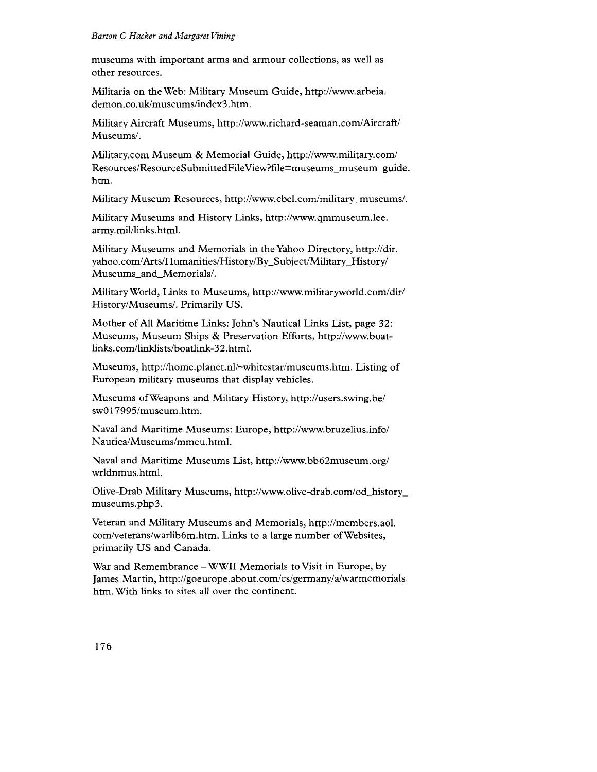museums with important arms and armour collections, as well as other resources.

Militaria on the Web: Military Museum Guide, http://www.arbeia. demon.co.uk/museums/index3.htm.

Military Aircraft Museums, http://www.richard-seaman.com/Aircraft/ Museums/.

Military.com Museum & Memorial Guide, http://www.military.com/ Resources/ResourceSubmittedFileView?file=museums\_museum\_guide. htm.

Military Museum Resources, http://www.cbel.com/military\_museums/.

Military Museums and History Links, http://www.qmmuseum.lee. army.mil/links.html.

Military Museums and Memorials in the Yahoo Directory, http://dir. yahoo.com/Arts/Humanities/History/By-Subject/Military-History/ Museums\_and\_Memorials/.

Military World, Links to Museums, http://www.militaryworld.com/dir/ History/Museums/. Primarily US.

Mother of All Maritime Links: John's Nautical Links List, page 32: Museums, Museum Ships & Preservation Efforts, http://www.boatlinks.com/linklists/boatlink-32.html.

Museums, http://home.planet.nl/~whitestar/museums.htm. Listing of European military museums that display vehicles.

Museums ofWeapons and Military History, http://users.swing.be/ swO 17995/museum.htm.

Naval and Maritime Museums: Europe, http://www.bruzelius.info/ Nautica/Museums/mmeu.html.

Naval and Maritime Museums List, http://www.bb62museum.org/ wrldnmus.html.

Olive-Drab Military Museums, http://www.olive-drab.com/od\_history\_ museums.php3.

Veteran and Military Museums and Memorials, http://members.aol. com/veterans/warlib6m.htm. Links to a large number ofWebsites, primarily US and Canada.

War and Remembrance - WWII Memorials to Visit in Europe, by James Martin, http://goeurope.about.com/cs/germany/a/warmemorials. htm. With links to sites all over the continent.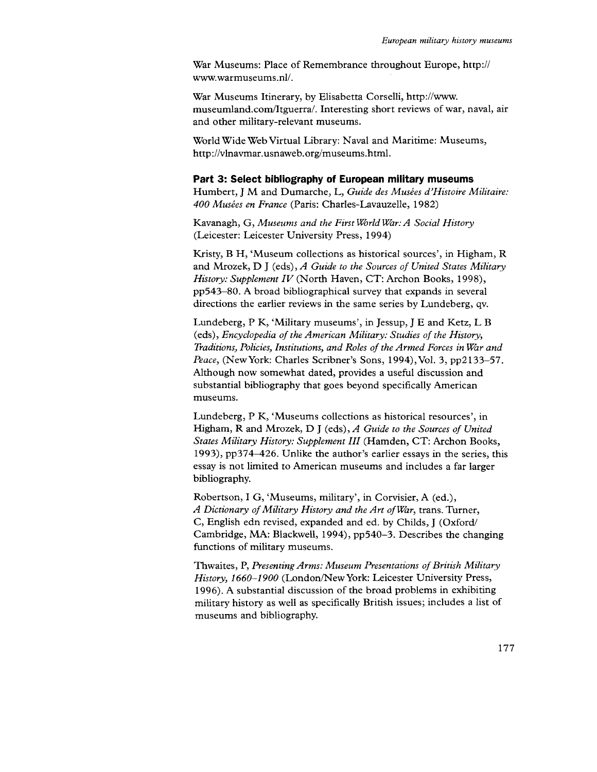War Museums: Place of Remembrance throughout Europe, http:// www.warmuseums.nl/.

War Museums Itinerary, by Elisabetta Corselli, http://www. museumland.com/Itguerra/. Interesting short reviews of war, naval, air and other military-relevant museums.

World Wide Web Virtual Library: Naval and Maritime: Museums, http://vlnavmar.usnaweb.org/museums.html.

# **Part 3: Select bibliography of European military museums**

Humbert, J M and Dumarche, L, *Guide des Musees d'Histoire Militaire: 400 Musees en France* (Paris: Charles-Lavauzelle, 1982)

Kavanagh, G, *Museums and the First World War: A Social History* (Leicester: Leicester University Press, 1994)

Kristy, B H, 'Museum collections as historical sources', in Higham, R and Mrozek, D J (eds), *A Guide to the Sources of United States Military History: Supplement IV* (North Haven, CT: Archon Books, 1998), pp543-80. A broad bibliographical survey that expands in several directions the earlier reviews in the same series by Lundeberg, qv.

Lundeberg, P K, 'Military museums', in Jessup, J E and Ketz, L B (eds), *Encyclopedia of the American Military: Studies of the History, Traditions, Policies, Institutions, and Roles of the Armed Forces in War and* Peace, (New York: Charles Scribner's Sons, 1994), Vol. 3, pp2133-57. Although now somewhat dated, provides a useful discussion and substantial bibliography that goes beyond specifically American museums.

Lundeberg, P K, 'Museums collections as historical resources', in Higham, R and Mrozek, D J (eds), *A Guide to the Sources of United States Military History: Supplement III* (Hamden, CT: Archon Books, 1993), pp374-426. Unlike the author's earlier essays in the series, this essay is not limited to American museums and includes a far larger bibliography.

Robertson, I G, 'Museums, military', in Corvisier, A (ed.), A Dictionary of Military History and the Art of War, trans. Turner, C, English edn revised, expanded and ed. by Childs, J (Oxford/ Cambridge, MA: Blackwell, 1994), pp540-3. Describes the changing functions of military museums.

Thwaites, P, *Presenting Arms: Museum Presentations of British Military History, 1660-1900* (London/NewYork: Leicester University Press, 1996). A substantial discussion of the broad problems in exhibiting military history as well as specifically British issues; includes a list of museums and bibliography.